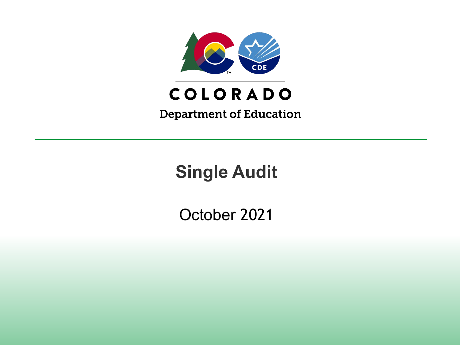

# COLORADO

**Department of Education** 

**Single Audit**

October 2021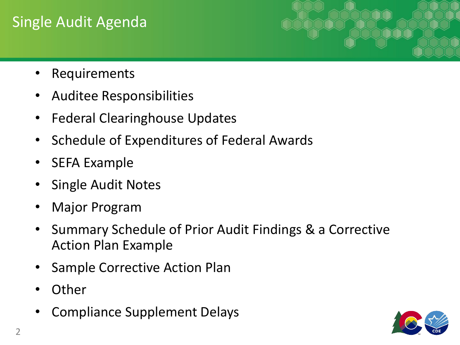## Single Audit Agenda

- **Requirements**
- Auditee Responsibilities
- Federal Clearinghouse Updates
- Schedule of Expenditures of Federal Awards
- SEFA Example
- Single Audit Notes
- Major Program
- Summary Schedule of Prior Audit Findings & a Corrective Action Plan Example
- Sample Corrective Action Plan
- **Other**
- Compliance Supplement Delays

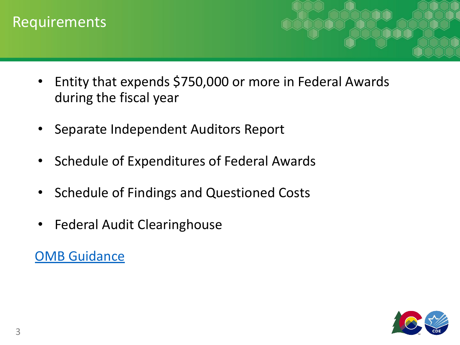#### Requirements

- Entity that expends \$750,000 or more in Federal Awards during the fiscal year
- Separate Independent Auditors Report
- Schedule of Expenditures of Federal Awards
- Schedule of Findings and Questioned Costs
- Federal Audit Clearinghouse

**[OMB Guidance](http://www.cde.state.co.us/cdefisgrant/attachment3singleauditrequirementsfy20-21)** 

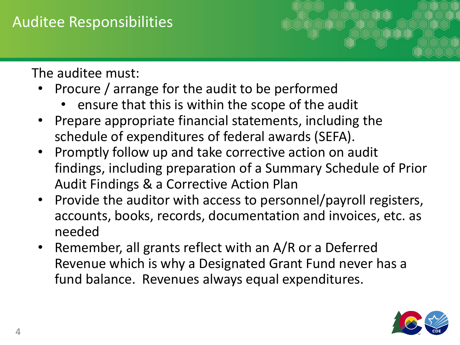### Auditee Responsibilities

The auditee must:

- Procure / arrange for the audit to be performed
	- ensure that this is within the scope of the audit
- Prepare appropriate financial statements, including the schedule of expenditures of federal awards (SEFA).
- Promptly follow up and take corrective action on audit findings, including preparation of a Summary Schedule of Prior Audit Findings & a Corrective Action Plan
- Provide the auditor with access to personnel/payroll registers, accounts, books, records, documentation and invoices, etc. as needed
- Remember, all grants reflect with an A/R or a Deferred Revenue which is why a Designated Grant Fund never has a fund balance. Revenues always equal expenditures.

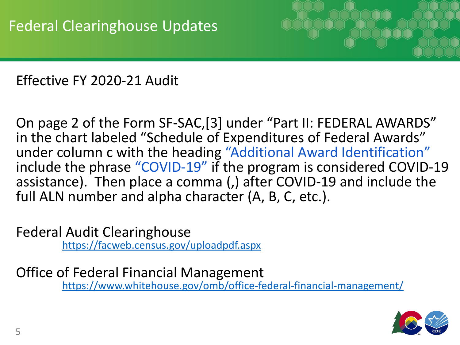

Effective FY 2020-21 Audit

On page 2 of the Form SF-SAC,[3] under "Part II: FEDERAL AWARDS" in the chart labeled "Schedule of Expenditures of Federal Awards" under column c with the heading "Additional Award Identification" include the phrase "COVID-19" if the program is considered COVID-19 assistance). Then place a comma (,) after COVID-19 and include the full ALN number and alpha character (A, B, C, etc.).

Federal Audit Clearinghouse <https://facweb.census.gov/uploadpdf.aspx>

Office of Federal Financial Management <https://www.whitehouse.gov/omb/office-federal-financial-management/>

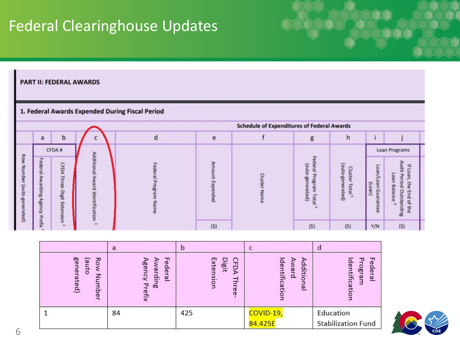## Federal Clearinghouse Updates

PART II: FEDERAL AWARDS

#### 1. Federal Awards Expended During Fiscal Period

|                      |             |                                 |                      |     | <b>Schedule of Expenditures of Federal Awards</b> |                                           |                                                      |                                |                                                                                                                        |  |
|----------------------|-------------|---------------------------------|----------------------|-----|---------------------------------------------------|-------------------------------------------|------------------------------------------------------|--------------------------------|------------------------------------------------------------------------------------------------------------------------|--|
|                      | a           | b                               |                      | е   |                                                   | g                                         |                                                      |                                |                                                                                                                        |  |
|                      | CFDA#       |                                 |                      |     |                                                   |                                           | Loan Programs                                        |                                |                                                                                                                        |  |
| Ro<br>oune<br>ā<br>욕 | o<br>므<br>æ | CFDA<br>딫<br>Digit<br>Extension | Additio<br>d Identif |     |                                                   | (aut<br>뜨<br>э<br>ated)<br>$\overline{a}$ | (auto-<br><b>Tast</b><br>鸭<br>m<br>nerated)<br>letal | EOL<br>$($ ueo $\eta$<br>an Gu | E<br>읔<br>b<br>۰<br>≒<br>$\mathbf{u}$<br>s<br>۰<br>Bal<br>۰<br>÷<br>₽<br>End<br>简<br>Ð<br>넘<br>q<br><b>Dre</b><br>ding |  |
|                      | э           | <b>W</b>                        |                      | (5) |                                                   | (5)                                       | (5)                                                  | Y/N                            | (5)                                                                                                                    |  |

|                                            | a                                           |                                | U                                                     |                                                   |
|--------------------------------------------|---------------------------------------------|--------------------------------|-------------------------------------------------------|---------------------------------------------------|
| Bel<br>정<br>(anto<br>ξ<br>ner<br>eq<br>ber | ᆩ<br>Awarding<br>ederal<br>gen<br>고<br>efix | Extension<br>C<br>Digit<br>FDA | dentific<br>Award<br>dditio<br>olde<br>$\overline{a}$ | Federal<br>᠊ᠣ<br>GU<br>ogr<br>tificatio<br>ε<br>∍ |
|                                            | 84                                          | 425                            | COVID-19,<br>84.425E                                  | Education<br><b>Stabilization Fund</b>            |

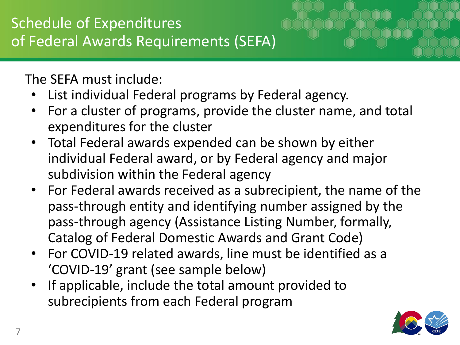The SEFA must include:

- List individual Federal programs by Federal agency.
- For a cluster of programs, provide the cluster name, and total expenditures for the cluster
- Total Federal awards expended can be shown by either individual Federal award, or by Federal agency and major subdivision within the Federal agency
- For Federal awards received as a subrecipient, the name of the pass-through entity and identifying number assigned by the pass-through agency (Assistance Listing Number, formally, Catalog of Federal Domestic Awards and Grant Code)
- For COVID-19 related awards, line must be identified as a 'COVID-19' grant (see sample below)
- If applicable, include the total amount provided to subrecipients from each Federal program

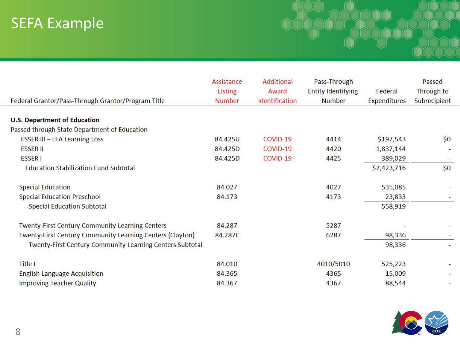# SEFA Example

| Federal Grantor/Pass-Through Grantor/Program Title        | Assistance<br>Listing<br><b>Number</b> | <b>Additional</b><br>Award<br>Identification | Pass-Through<br><b>Entity Identifying</b><br><b>Number</b> | Federal<br><b>Expenditures</b> | Passed<br>Through to<br>Subrecipient |
|-----------------------------------------------------------|----------------------------------------|----------------------------------------------|------------------------------------------------------------|--------------------------------|--------------------------------------|
|                                                           |                                        |                                              |                                                            |                                |                                      |
| <b>U.S. Department of Education</b>                       |                                        |                                              |                                                            |                                |                                      |
| Passed through State Department of Education              |                                        |                                              |                                                            |                                |                                      |
| <b>ESSER III - LEA Learning Loss</b>                      | 84.425U                                | COVID-19                                     | 4414                                                       | \$197,543                      | \$0                                  |
| <b>ESSER II</b>                                           | 84.425D                                | COVID-19                                     | 4420                                                       | 1,837,144                      | $\overline{\phantom{a}}$             |
| <b>ESSER1</b>                                             | 84.425D                                | COVID-19                                     | 4425                                                       | 389,029                        |                                      |
| <b>Education Stabilization Fund Subtotal</b>              |                                        |                                              |                                                            | \$2,423,716                    | \$0                                  |
| <b>Special Education</b>                                  | 84.027                                 |                                              | 4027                                                       | 535,085                        |                                      |
| <b>Special Education Preschool</b>                        | 84.173                                 |                                              | 4173                                                       | 23,833                         |                                      |
| <b>Special Education Subtotal</b>                         |                                        |                                              |                                                            | 558,919                        |                                      |
| Twenty-First Century Community Learning Centers           | 84.287                                 |                                              | 5287                                                       |                                |                                      |
| Twenty-First Century Community Learning Centers (Clayton) | 84.287C                                |                                              | 6287                                                       | 98,336                         |                                      |
| Twenty-First Century Community Learning Centers Subtotal  |                                        |                                              |                                                            | 98,336                         | $ \,$                                |
| <b>Title I</b>                                            | 84.010                                 |                                              | 4010/5010                                                  | 525,223                        | $\overline{\phantom{a}}$             |
| <b>English Language Acquisition</b>                       | 84.365                                 |                                              | 4365                                                       | 15,009                         |                                      |
| Improving Teacher Quality                                 | 84.367                                 |                                              | 4367                                                       | 88.544                         |                                      |

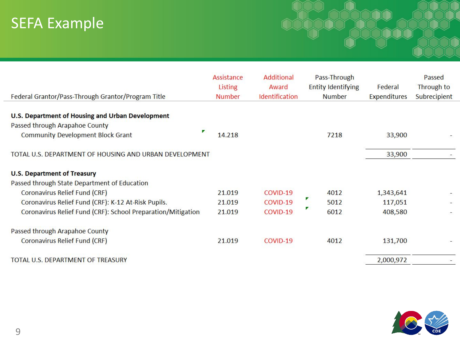# SEFA Example

| Federal Grantor/Pass-Through Grantor/Program Title           | Assistance<br><b>Listing</b><br><b>Number</b> | <b>Additional</b><br>Award<br>Identification | Pass-Through<br><b>Entity Identifying</b><br><b>Number</b> | Federal<br><b>Expenditures</b> | Passed<br>Through to<br>Subrecipient |
|--------------------------------------------------------------|-----------------------------------------------|----------------------------------------------|------------------------------------------------------------|--------------------------------|--------------------------------------|
| U.S. Department of Housing and Urban Development             |                                               |                                              |                                                            |                                |                                      |
| Passed through Arapahoe County                               |                                               |                                              |                                                            |                                |                                      |
| ▼<br><b>Community Development Block Grant</b>                | 14.218                                        |                                              | 7218                                                       | 33,900                         |                                      |
| TOTAL U.S. DEPARTMENT OF HOUSING AND URBAN DEVELOPMENT       |                                               |                                              |                                                            | 33,900                         |                                      |
| <b>U.S. Department of Treasury</b>                           |                                               |                                              |                                                            |                                |                                      |
| Passed through State Department of Education                 |                                               |                                              |                                                            |                                |                                      |
| Coronavirus Relief Fund (CRF)                                | 21.019                                        | COVID-19                                     | 4012                                                       | 1,343,641                      |                                      |
| Coronavirus Relief Fund (CRF): K-12 At-Risk Pupils.          | 21.019                                        | COVID-19                                     | ◤<br>5012                                                  | 117,051                        |                                      |
| Coronavirus Relief Fund (CRF): School Preparation/Mitigation | 21.019                                        | COVID-19                                     | 7<br>6012                                                  | 408,580                        |                                      |
| Passed through Arapahoe County                               |                                               |                                              |                                                            |                                |                                      |
| Coronavirus Relief Fund (CRF)                                | 21.019                                        | COVID-19                                     | 4012                                                       | 131,700                        |                                      |
| TOTAL U.S. DEPARTMENT OF TREASURY                            |                                               |                                              |                                                            | 2,000,972                      |                                      |

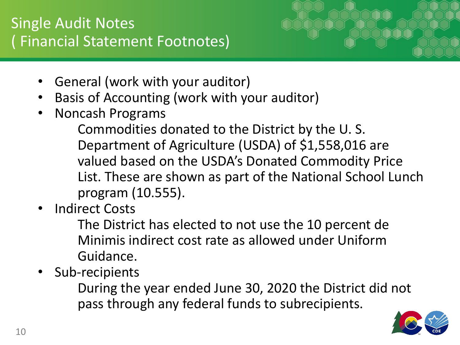## Single Audit Notes ( Financial Statement Footnotes)



- General (work with your auditor)
- Basis of Accounting (work with your auditor)
- Noncash Programs

Commodities donated to the District by the U. S. Department of Agriculture (USDA) of \$1,558,016 are valued based on the USDA's Donated Commodity Price List. These are shown as part of the National School Lunch program (10.555).

**Indirect Costs** 

The District has elected to not use the 10 percent de Minimis indirect cost rate as allowed under Uniform Guidance.

Sub-recipients

During the year ended June 30, 2020 the District did not pass through any federal funds to subrecipients.

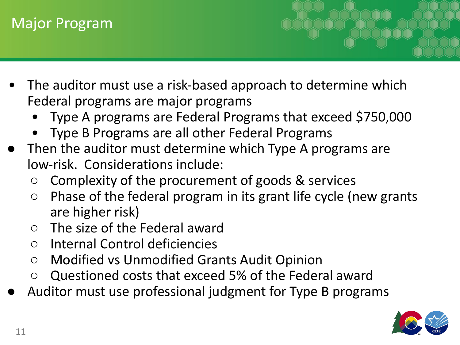### Major Program

- The auditor must use a risk-based approach to determine which Federal programs are major programs
	- Type A programs are Federal Programs that exceed \$750,000
	- Type B Programs are all other Federal Programs
- Then the auditor must determine which Type A programs are low-risk. Considerations include:
	- Complexity of the procurement of goods & services
	- $\circ$  Phase of the federal program in its grant life cycle (new grants are higher risk)
	- The size of the Federal award
	- Internal Control deficiencies
	- Modified vs Unmodified Grants Audit Opinion
	- Questioned costs that exceed 5% of the Federal award
- Auditor must use professional judgment for Type B programs

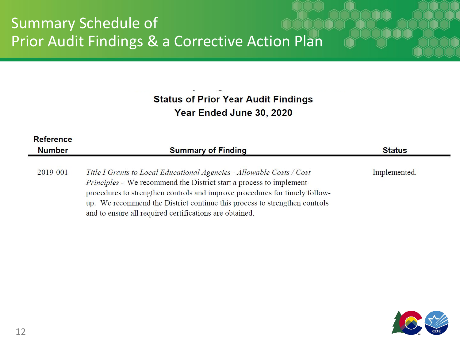### Summary Schedule of Prior Audit Findings & a Corrective Action Plan

**Status of Prior Year Audit Findings** Year Ended June 30, 2020

| <b>Reference</b><br><b>Number</b> | <b>Summary of Finding</b>                                                                                                                                                                                                                                                                                                                                            | <b>Status</b> |
|-----------------------------------|----------------------------------------------------------------------------------------------------------------------------------------------------------------------------------------------------------------------------------------------------------------------------------------------------------------------------------------------------------------------|---------------|
| 2019-001                          | Title I Grants to Local Educational Agencies - Allowable Costs / Cost<br>Principles - We recommend the District start a process to implement<br>procedures to strengthen controls and improve procedures for timely follow-<br>up. We recommend the District continue this process to strengthen controls<br>and to ensure all required certifications are obtained. | Implemented.  |

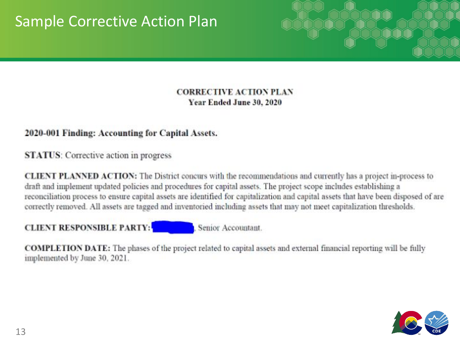### Sample Corrective Action Plan



#### **CORRECTIVE ACTION PLAN** Year Ended June 30, 2020

#### 2020-001 Finding: Accounting for Capital Assets.

**STATUS:** Corrective action in progress

**CLIENT PLANNED ACTION:** The District concurs with the recommendations and currently has a project in-process to draft and implement updated policies and procedures for capital assets. The project scope includes establishing a reconciliation process to ensure capital assets are identified for capitalization and capital assets that have been disposed of are correctly removed. All assets are tagged and inventoried including assets that may not meet capitalization thresholds.

#### **CLIENT RESPONSIBLE PARTY:**

Senior Accountant.

**COMPLETION DATE:** The phases of the project related to capital assets and external financial reporting will be fully implemented by June 30, 2021.

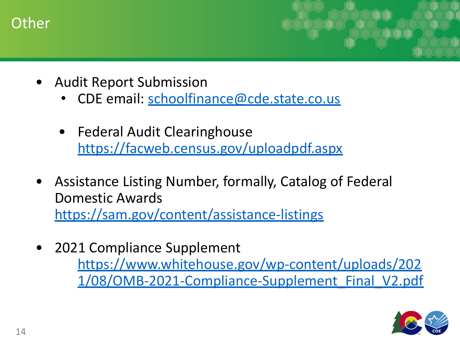#### **Other**

- Audit Report Submission
	- CDE email: [schoolfinance@cde.state.co.us](mailto:schoolfinance@cde.state.co.us)
	- Federal Audit Clearinghouse <https://facweb.census.gov/uploadpdf.aspx>
- Assistance Listing Number, formally, Catalog of Federal Domestic Awards <https://sam.gov/content/assistance-listings>
- 2021 Compliance Supplement [https://www.whitehouse.gov/wp-content/uploads/202](https://www.whitehouse.gov/wp-content/uploads/2021/08/OMB-2021-Compliance-Supplement_Final_V2.pdf) [1/08/OMB-2021-Compliance-Supplement\\_Final\\_V2.pdf](https://www.whitehouse.gov/wp-content/uploads/2021/08/OMB-2021-Compliance-Supplement_Final_V2.pdf)

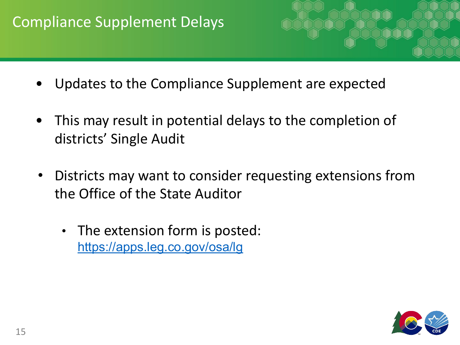### Compliance Supplement Delays

- Updates to the Compliance Supplement are expected
- This may result in potential delays to the completion of districts' Single Audit
- Districts may want to consider requesting extensions from the Office of the State Auditor
	- The extension form is posted: <https://apps.leg.co.gov/osa/lg>